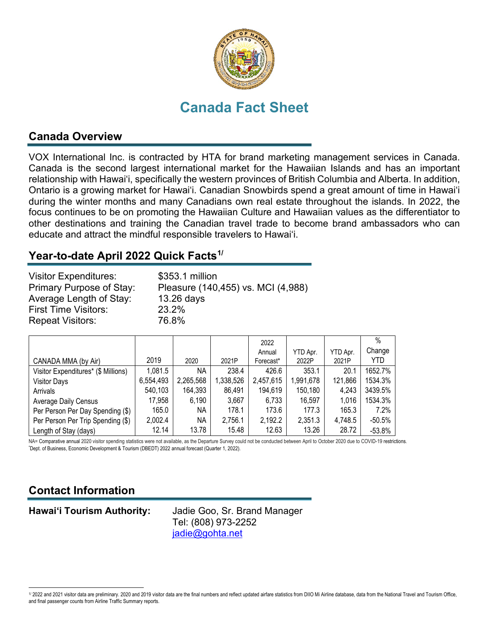

# **Canada Fact Sheet**

### **Canada Overview**

VOX International Inc. is contracted by HTA for brand marketing management services in Canada. Canada is the second largest international market for the Hawaiian Islands and has an important relationship with Hawai'i, specifically the western provinces of British Columbia and Alberta. In addition, Ontario is a growing market for Hawai'i. Canadian Snowbirds spend a great amount of time in Hawai'i during the winter months and many Canadians own real estate throughout the islands. In 2022, the focus continues to be on promoting the Hawaiian Culture and Hawaiian values as the differentiator to other destinations and training the Canadian travel trade to become brand ambassadors who can educate and attract the mindful responsible travelers to Hawai'i.

## **Year-to-date April 2022 Quick Facts[1](#page-0-0)/**

| <b>Visitor Expenditures:</b> | \$353.1 million                    |
|------------------------------|------------------------------------|
| Primary Purpose of Stay:     | Pleasure (140,455) vs. MCI (4,988) |
| Average Length of Stay:      | 13.26 days                         |
| <b>First Time Visitors:</b>  | 23.2%                              |
| <b>Repeat Visitors:</b>      | 76.8%                              |

|                                     |           |           |           | 2022      |           |          | $\%$     |
|-------------------------------------|-----------|-----------|-----------|-----------|-----------|----------|----------|
|                                     |           |           |           | Annual    | YTD Apr.  | YTD Apr. | Change   |
| CANADA MMA (by Air)                 | 2019      | 2020      | 2021P     | Forecast* | 2022P     | 2021P    | YTD.     |
| Visitor Expenditures* (\$ Millions) | 1,081.5   | ΝA        | 238.4     | 426.6     | 353.1     | 20.1     | 1652.7%  |
| <b>Visitor Days</b>                 | 6,554,493 | 2,265,568 | 1,338,526 | 2,457,615 | 1,991,678 | 121,866  | 1534.3%  |
| Arrivals                            | 540,103   | 164,393   | 86,491    | 194,619   | 150,180   | 4,243    | 3439.5%  |
| <b>Average Daily Census</b>         | 17,958    | 6,190     | 3,667     | 6,733     | 16,597    | 1,016    | 1534.3%  |
| Per Person Per Day Spending (\$)    | 165.0     | NА        | 178.1     | 173.6     | 177.3     | 165.3    | 7.2%     |
| Per Person Per Trip Spending (\$)   | 2,002.4   | NА        | 2,756.1   | 2,192.2   | 2,351.3   | 4,748.5  | $-50.5%$ |
| Length of Stay (days)               | 12.14     | 13.78     | 15.48     | 12.63     | 13.26     | 28.72    | $-53.8%$ |

NA= Comparative annual 2020 visitor spending statistics were not available, as the Departure Survey could not be conducted between April to October 2020 due to COVID-19 restrictions. Dept. of Business, Economic Development & Tourism (DBEDT) 2022 annual forecast (Quarter 1, 2022).

## **Contact Information**

**Hawai'i Tourism Authority:** Jadie Goo, Sr. Brand Manager Tel: (808) 973-2252 [jadie@gohta.net](mailto:jadie@gohta.net)

<span id="page-0-0"></span><sup>1/ 2022</sup> and 2021 visitor data are preliminary. 2020 and 2019 visitor data are the final numbers and reflect updated airfare statistics from DIIO Mi Airline database, data from the National Travel and Tourism Office, and final passenger counts from Airline Traffic Summary reports.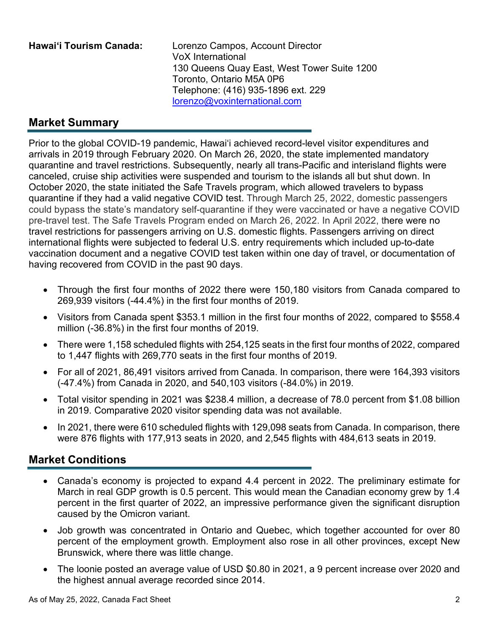**Hawai'i Tourism Canada:** Lorenzo Campos, Account Director VoX International 130 Queens Quay East, West Tower Suite 1200 Toronto, Ontario M5A 0P6 Telephone: (416) 935-1896 ext. 229 [lorenzo@voxinternational.com](mailto:lorenzo@voxinternational.com)

## **Market Summary**

Prior to the global COVID-19 pandemic, Hawai'i achieved record-level visitor expenditures and arrivals in 2019 through February 2020. On March 26, 2020, the state implemented mandatory quarantine and travel restrictions. Subsequently, nearly all trans-Pacific and interisland flights were canceled, cruise ship activities were suspended and tourism to the islands all but shut down. In October 2020, the state initiated the Safe Travels program, which allowed travelers to bypass quarantine if they had a valid negative COVID test. Through March 25, 2022, domestic passengers could bypass the state's mandatory self-quarantine if they were vaccinated or have a negative COVID pre-travel test. The Safe Travels Program ended on March 26, 2022. In April 2022, there were no travel restrictions for passengers arriving on U.S. domestic flights. Passengers arriving on direct international flights were subjected to federal U.S. entry requirements which included up-to-date vaccination document and a negative COVID test taken within one day of travel, or documentation of having recovered from COVID in the past 90 days.

- Through the first four months of 2022 there were 150,180 visitors from Canada compared to 269,939 visitors (-44.4%) in the first four months of 2019.
- Visitors from Canada spent \$353.1 million in the first four months of 2022, compared to \$558.4 million (-36.8%) in the first four months of 2019.
- There were 1,158 scheduled flights with 254,125 seats in the first four months of 2022, compared to 1,447 flights with 269,770 seats in the first four months of 2019.
- For all of 2021, 86,491 visitors arrived from Canada. In comparison, there were 164,393 visitors (-47.4%) from Canada in 2020, and 540,103 visitors (-84.0%) in 2019.
- Total visitor spending in 2021 was \$238.4 million, a decrease of 78.0 percent from \$1.08 billion in 2019. Comparative 2020 visitor spending data was not available.
- In 2021, there were 610 scheduled flights with 129,098 seats from Canada. In comparison, there were 876 flights with 177,913 seats in 2020, and 2,545 flights with 484,613 seats in 2019.

### **Market Conditions**

- Canada's economy is projected to expand 4.4 percent in 2022. The preliminary estimate for March in real GDP growth is 0.5 percent. This would mean the Canadian economy grew by 1.4 percent in the first quarter of 2022, an impressive performance given the significant disruption caused by the Omicron variant.
- Job growth was concentrated in Ontario and Quebec, which together accounted for over 80 percent of the employment growth. Employment also rose in all other provinces, except New Brunswick, where there was little change.
- The loonie posted an average value of USD \$0.80 in 2021, a 9 percent increase over 2020 and the highest annual average recorded since 2014.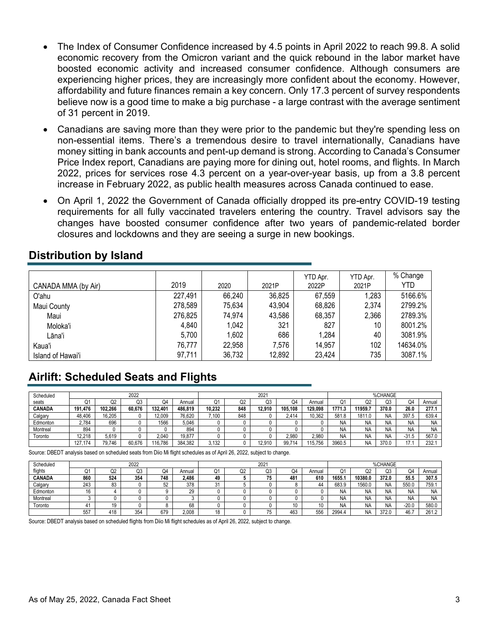- The Index of Consumer Confidence increased by 4.5 points in April 2022 to reach 99.8. A solid economic recovery from the Omicron variant and the quick rebound in the labor market have boosted economic activity and increased consumer confidence. Although consumers are experiencing higher prices, they are increasingly more confident about the economy. However, affordability and future finances remain a key concern. Only 17.3 percent of survey respondents believe now is a good time to make a big purchase - a large contrast with the average sentiment of 31 percent in 2019.
- Canadians are saving more than they were prior to the pandemic but they're spending less on non-essential items. There's a tremendous desire to travel internationally, Canadians have money sitting in bank accounts and pent-up demand is strong. According to Canada's Consumer Price Index report, Canadians are paying more for dining out, hotel rooms, and flights. In March 2022, prices for services rose 4.3 percent on a year-over-year basis, up from a 3.8 percent increase in February 2022, as public health measures across Canada continued to ease.
- On April 1, 2022 the Government of Canada officially dropped its pre-entry COVID-19 testing requirements for all fully vaccinated travelers entering the country. Travel advisors say the changes have boosted consumer confidence after two years of pandemic-related border closures and lockdowns and they are seeing a surge in new bookings.

|                     |         |        |        | YTD Apr. | YTD Apr. | % Change |
|---------------------|---------|--------|--------|----------|----------|----------|
| CANADA MMA (by Air) | 2019    | 2020   | 2021P  | 2022P    | 2021P    | YTD      |
| O'ahu               | 227,491 | 66,240 | 36,825 | 67,559   | 1,283    | 5166.6%  |
| Maui County         | 278,589 | 75,634 | 43,904 | 68,826   | 2,374    | 2799.2%  |
| Maui                | 276,825 | 74,974 | 43,586 | 68,357   | 2,366    | 2789.3%  |
| Moloka'i            | 4,840   | 1,042  | 321    | 827      | 10       | 8001.2%  |
| Lāna'i              | 5,700   | 1,602  | 686    | 1,284    | 40       | 3081.9%  |
| Kaua'i              | 76,777  | 22,958 | 7,576  | 14,957   | 102      | 14634.0% |
| Island of Hawai'i   | 97,711  | 36,732 | 12,892 | 23,424   | 735      | 3087.1%  |

#### **Distribution by Island**

## **Airlift: Scheduled Seats and Flights**

| Scheduled     | 2022    |         |        | $202 -$ |         |                         |              | %CHANGE |            |         |           |           |       |           |           |
|---------------|---------|---------|--------|---------|---------|-------------------------|--------------|---------|------------|---------|-----------|-----------|-------|-----------|-----------|
| seats         | σ.      | O2      | Q3     | Q4      | Annual  | σ.                      | $\cap$<br>uz | Q3      | Q4         | Annual  | Ο1        | O2        | 23    | Q4        | Annual    |
| <b>CANADA</b> | 191.476 | 102.266 | 60.676 | 132.401 | 486.819 | 10.232                  | 848          | 12.910  | 105.108    | 129.098 | 1771.3    | 1959.     | 370.0 | 26.0      | 277.1     |
| Calgary       | 48.406  | 16.205  |        | 12.009  | 76.620  | $~^\circ$ 100 $~^\circ$ | 848          |         | 2.414      | 10.362  | 581.8     | 1811.0    | NA    | 397.5     | 639.4     |
| Edmonton      | 2,784   | 696     |        | 1566    | 5.046   |                         |              |         |            |         | <b>NA</b> | <b>NA</b> | NA    | <b>NA</b> | <b>NA</b> |
| Montreal      | 894     |         |        |         | 894     |                         |              |         |            |         | NA        | <b>NA</b> | NA    | <b>NA</b> | <b>NA</b> |
| Toronto       | 12.218  | 5.619   |        | 2.040   | 19.877  |                         |              |         | 2.980      | 2.980   | <b>NA</b> | <b>NA</b> | NA    | -31.5     | 567.0     |
|               | 127.174 | 79.746  | 60.676 | 116.786 | 384.382 | \132                    |              | 12.910  | 714<br>99. | 115.756 | 3960.5    | <b>NA</b> | 370.0 | 17        | 232.7     |

Source: DBEDT analysis based on scheduled seats from Diio Mi flight schedules as of April 26, 2022, subject to change.

| Scheduled     | 2022 |          |     |     |        | $202 -$ |                |           |     | %CHANGE |           |         |       |           |           |
|---------------|------|----------|-----|-----|--------|---------|----------------|-----------|-----|---------|-----------|---------|-------|-----------|-----------|
| flights       | ◡    | Ω2       | Q3  | Q4  | Annual | Ő.      | $\sim$<br>- UZ | Q3        | Q4  | Annual  | r.<br>u   | O2      | CС    | O4        | Annual    |
| <b>CANADA</b> | 860  | 524      | 354 | 748 | 2.486  | 49      |                | 75<br>ر ا | 481 | 610     | 1655.     | 10380.0 | 372.0 | 55.5      | 307.5     |
| Calgary       | 243  | o٥<br>ŎĴ |     | 52  | 378    | 3       |                |           |     | 44      | 683.9     | 1560.0  | NA    | 550.0     | 759.      |
| Edmonton      | 16   |          |     |     | 29     |         |                |           |     |         | <b>NA</b> | NA      | NA    | NA        | <b>NA</b> |
| Montreal      |      |          |     |     |        |         |                |           |     |         | <b>NA</b> | NA      | NA    | <b>NA</b> | <b>NA</b> |
| Toronto       | 4    | 10<br>.  |     |     | 68     |         |                |           | 10  |         | NA        | NA      | NA    | $-20.0$   | 580.0     |
|               | 557  | 418      | 354 | 679 | 2.008  | 18      |                | 75        | 463 | 556     | 2994.4    | NA      | 372.0 | 46.i      | 261.2     |

Source: DBEDT analysis based on scheduled flights from Diio Mi flight schedules as of April 26, 2022, subject to change.